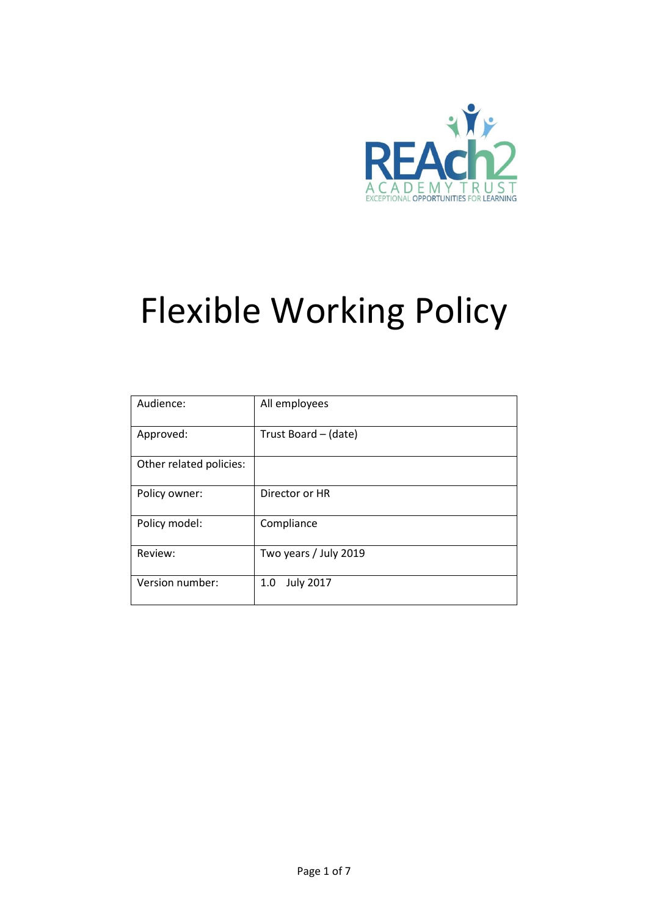

# Flexible Working Policy

| Audience:               | All employees           |
|-------------------------|-------------------------|
| Approved:               | Trust Board - (date)    |
| Other related policies: |                         |
| Policy owner:           | Director or HR          |
| Policy model:           | Compliance              |
| Review:                 | Two years / July 2019   |
| Version number:         | <b>July 2017</b><br>1.0 |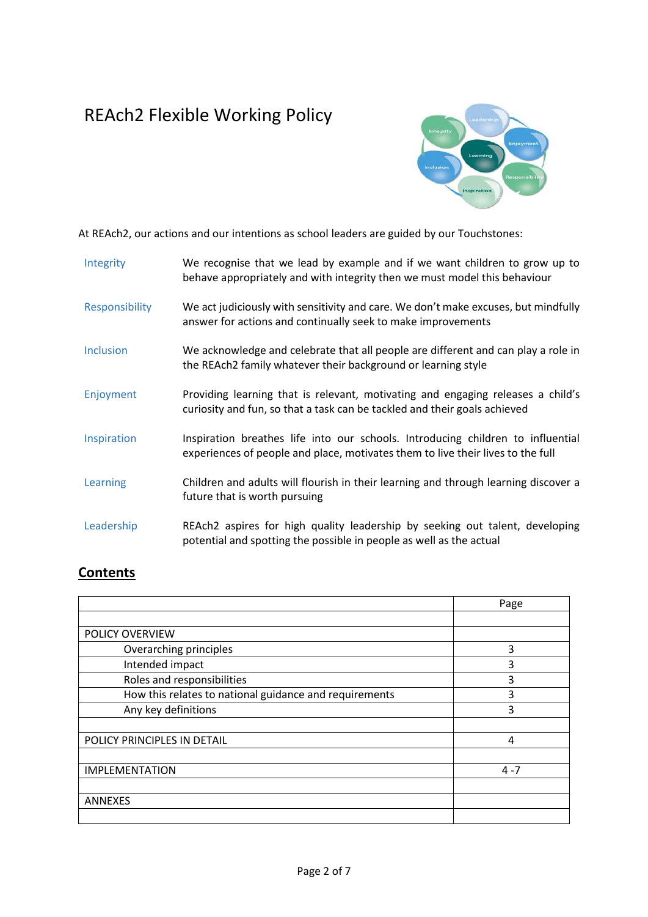## REAch2 Flexible Working Policy



At REAch2, our actions and our intentions as school leaders are guided by our Touchstones:

| Integrity        | We recognise that we lead by example and if we want children to grow up to<br>behave appropriately and with integrity then we must model this behaviour            |
|------------------|--------------------------------------------------------------------------------------------------------------------------------------------------------------------|
| Responsibility   | We act judiciously with sensitivity and care. We don't make excuses, but mindfully<br>answer for actions and continually seek to make improvements                 |
| <b>Inclusion</b> | We acknowledge and celebrate that all people are different and can play a role in<br>the REAch2 family whatever their background or learning style                 |
| Enjoyment        | Providing learning that is relevant, motivating and engaging releases a child's<br>curiosity and fun, so that a task can be tackled and their goals achieved       |
| Inspiration      | Inspiration breathes life into our schools. Introducing children to influential<br>experiences of people and place, motivates them to live their lives to the full |
| Learning         | Children and adults will flourish in their learning and through learning discover a<br>future that is worth pursuing                                               |
| Leadership       | REAch2 aspires for high quality leadership by seeking out talent, developing<br>potential and spotting the possible in people as well as the actual                |

### **Contents**

|                                                        | Page    |
|--------------------------------------------------------|---------|
|                                                        |         |
| POLICY OVERVIEW                                        |         |
| Overarching principles                                 | 3       |
| Intended impact                                        | 3       |
| Roles and responsibilities                             | 3       |
| How this relates to national guidance and requirements | 3       |
| Any key definitions                                    | 3       |
|                                                        |         |
| POLICY PRINCIPLES IN DETAIL                            | 4       |
|                                                        |         |
| <b>IMPLEMENTATION</b>                                  | $4 - 7$ |
|                                                        |         |
| <b>ANNEXES</b>                                         |         |
|                                                        |         |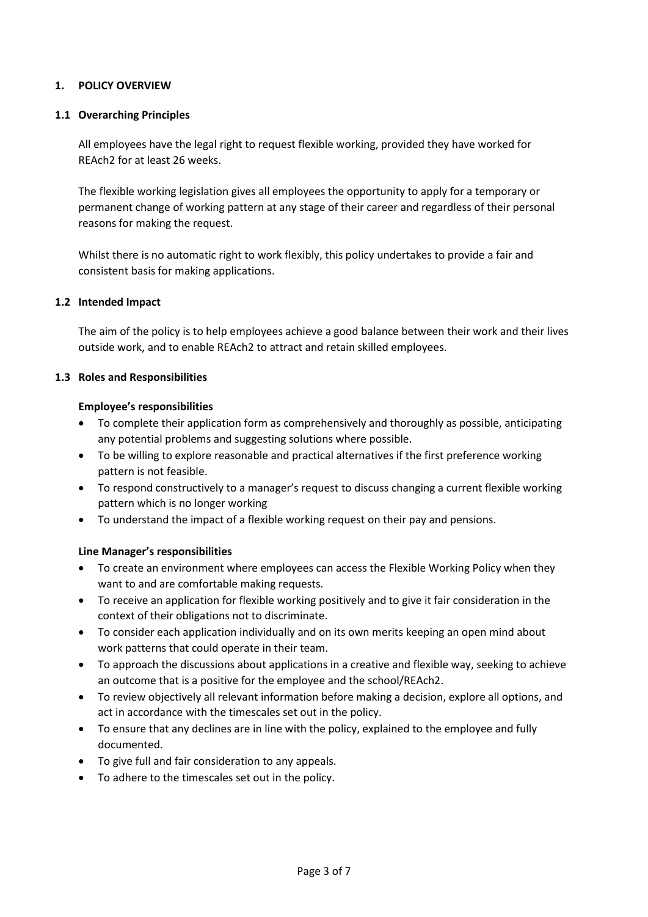#### **1. POLICY OVERVIEW**

#### **1.1 Overarching Principles**

All employees have the legal right to request flexible working, provided they have worked for REAch2 for at least 26 weeks.

The flexible working legislation gives all employees the opportunity to apply for a temporary or permanent change of working pattern at any stage of their career and regardless of their personal reasons for making the request.

Whilst there is no automatic right to work flexibly, this policy undertakes to provide a fair and consistent basis for making applications.

#### **1.2 Intended Impact**

The aim of the policy is to help employees achieve a good balance between their work and their lives outside work, and to enable REAch2 to attract and retain skilled employees.

#### **1.3 Roles and Responsibilities**

#### **Employee's responsibilities**

- To complete their application form as comprehensively and thoroughly as possible, anticipating any potential problems and suggesting solutions where possible.
- To be willing to explore reasonable and practical alternatives if the first preference working pattern is not feasible.
- To respond constructively to a manager's request to discuss changing a current flexible working pattern which is no longer working
- To understand the impact of a flexible working request on their pay and pensions.

#### **Line Manager's responsibilities**

- To create an environment where employees can access the Flexible Working Policy when they want to and are comfortable making requests.
- To receive an application for flexible working positively and to give it fair consideration in the context of their obligations not to discriminate.
- To consider each application individually and on its own merits keeping an open mind about work patterns that could operate in their team.
- To approach the discussions about applications in a creative and flexible way, seeking to achieve an outcome that is a positive for the employee and the school/REAch2.
- To review objectively all relevant information before making a decision, explore all options, and act in accordance with the timescales set out in the policy.
- To ensure that any declines are in line with the policy, explained to the employee and fully documented.
- To give full and fair consideration to any appeals.
- To adhere to the timescales set out in the policy.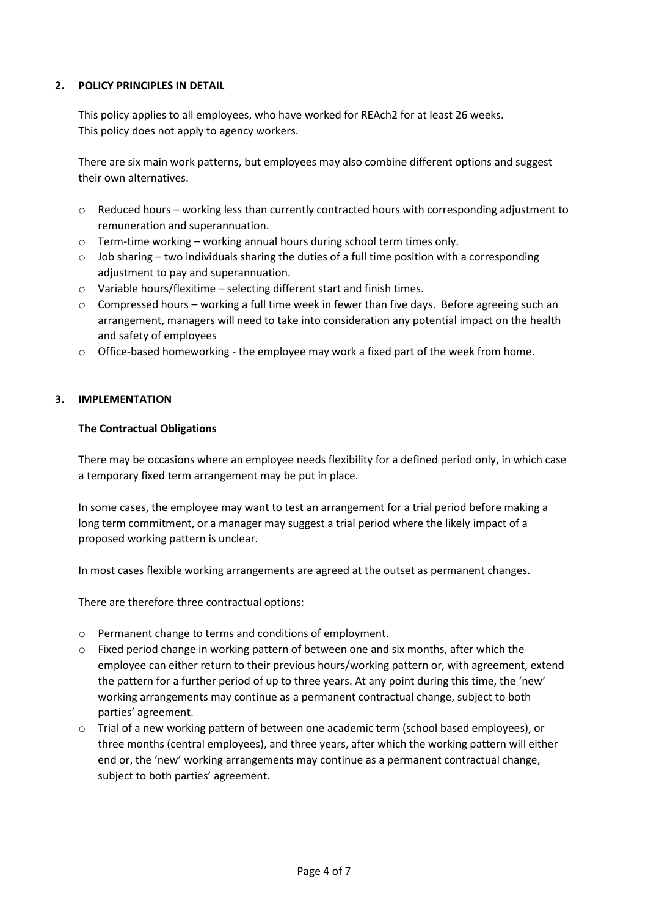#### **2. POLICY PRINCIPLES IN DETAIL**

This policy applies to all employees, who have worked for REAch2 for at least 26 weeks. This policy does not apply to agency workers.

There are six main work patterns, but employees may also combine different options and suggest their own alternatives.

- $\circ$  Reduced hours working less than currently contracted hours with corresponding adjustment to remuneration and superannuation.
- $\circ$  Term-time working working annual hours during school term times only.
- $\circ$  Job sharing two individuals sharing the duties of a full time position with a corresponding adjustment to pay and superannuation.
- o Variable hours/flexitime selecting different start and finish times.
- $\circ$  Compressed hours working a full time week in fewer than five days. Before agreeing such an arrangement, managers will need to take into consideration any potential impact on the health and safety of employees
- o Office-based homeworking the employee may work a fixed part of the week from home.

#### **3. IMPLEMENTATION**

#### **The Contractual Obligations**

There may be occasions where an employee needs flexibility for a defined period only, in which case a temporary fixed term arrangement may be put in place.

In some cases, the employee may want to test an arrangement for a trial period before making a long term commitment, or a manager may suggest a trial period where the likely impact of a proposed working pattern is unclear.

In most cases flexible working arrangements are agreed at the outset as permanent changes.

There are therefore three contractual options:

- o Permanent change to terms and conditions of employment.
- $\circ$  Fixed period change in working pattern of between one and six months, after which the employee can either return to their previous hours/working pattern or, with agreement, extend the pattern for a further period of up to three years. At any point during this time, the 'new' working arrangements may continue as a permanent contractual change, subject to both parties' agreement.
- o Trial of a new working pattern of between one academic term (school based employees), or three months (central employees), and three years, after which the working pattern will either end or, the 'new' working arrangements may continue as a permanent contractual change, subject to both parties' agreement.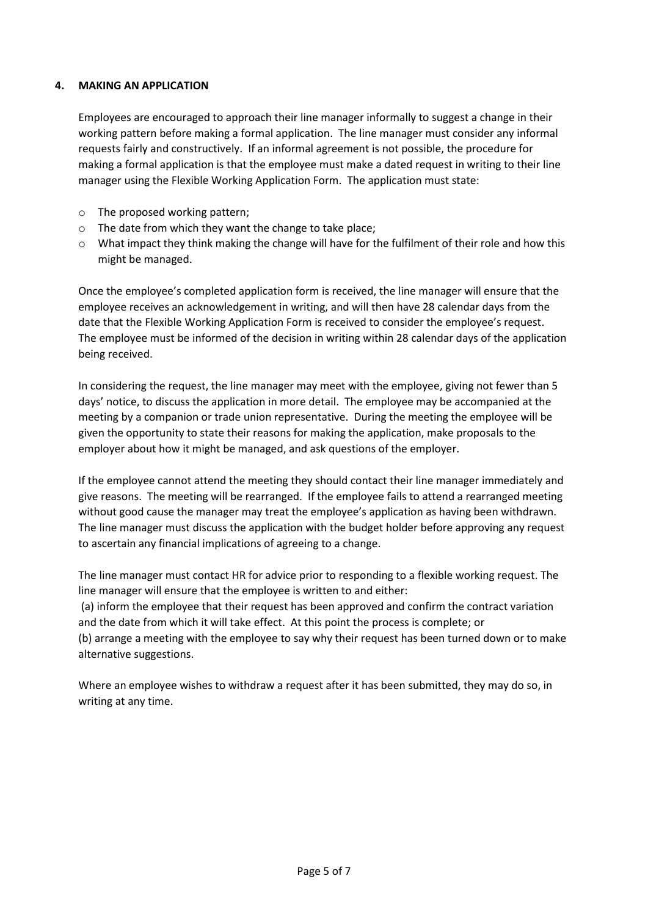#### **4. MAKING AN APPLICATION**

Employees are encouraged to approach their line manager informally to suggest a change in their working pattern before making a formal application. The line manager must consider any informal requests fairly and constructively. If an informal agreement is not possible, the procedure for making a formal application is that the employee must make a dated request in writing to their line manager using the Flexible Working Application Form. The application must state:

- o The proposed working pattern;
- o The date from which they want the change to take place;
- $\circ$  What impact they think making the change will have for the fulfilment of their role and how this might be managed.

Once the employee's completed application form is received, the line manager will ensure that the employee receives an acknowledgement in writing, and will then have 28 calendar days from the date that the Flexible Working Application Form is received to consider the employee's request. The employee must be informed of the decision in writing within 28 calendar days of the application being received.

In considering the request, the line manager may meet with the employee, giving not fewer than 5 days' notice, to discuss the application in more detail. The employee may be accompanied at the meeting by a companion or trade union representative. During the meeting the employee will be given the opportunity to state their reasons for making the application, make proposals to the employer about how it might be managed, and ask questions of the employer.

If the employee cannot attend the meeting they should contact their line manager immediately and give reasons. The meeting will be rearranged. If the employee fails to attend a rearranged meeting without good cause the manager may treat the employee's application as having been withdrawn. The line manager must discuss the application with the budget holder before approving any request to ascertain any financial implications of agreeing to a change.

The line manager must contact HR for advice prior to responding to a flexible working request. The line manager will ensure that the employee is written to and either:

(a) inform the employee that their request has been approved and confirm the contract variation and the date from which it will take effect. At this point the process is complete; or

(b) arrange a meeting with the employee to say why their request has been turned down or to make alternative suggestions.

Where an employee wishes to withdraw a request after it has been submitted, they may do so, in writing at any time.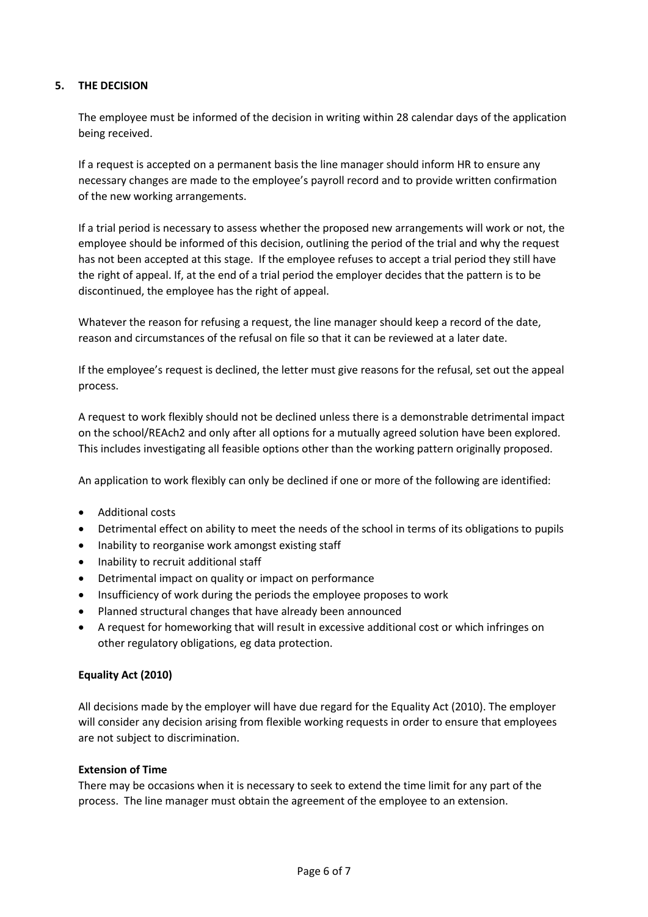#### **5. THE DECISION**

The employee must be informed of the decision in writing within 28 calendar days of the application being received.

If a request is accepted on a permanent basis the line manager should inform HR to ensure any necessary changes are made to the employee's payroll record and to provide written confirmation of the new working arrangements.

If a trial period is necessary to assess whether the proposed new arrangements will work or not, the employee should be informed of this decision, outlining the period of the trial and why the request has not been accepted at this stage. If the employee refuses to accept a trial period they still have the right of appeal. If, at the end of a trial period the employer decides that the pattern is to be discontinued, the employee has the right of appeal.

Whatever the reason for refusing a request, the line manager should keep a record of the date, reason and circumstances of the refusal on file so that it can be reviewed at a later date.

If the employee's request is declined, the letter must give reasons for the refusal, set out the appeal process.

A request to work flexibly should not be declined unless there is a demonstrable detrimental impact on the school/REAch2 and only after all options for a mutually agreed solution have been explored. This includes investigating all feasible options other than the working pattern originally proposed.

An application to work flexibly can only be declined if one or more of the following are identified:

- Additional costs
- Detrimental effect on ability to meet the needs of the school in terms of its obligations to pupils
- Inability to reorganise work amongst existing staff
- Inability to recruit additional staff
- Detrimental impact on quality or impact on performance
- Insufficiency of work during the periods the employee proposes to work
- Planned structural changes that have already been announced
- A request for homeworking that will result in excessive additional cost or which infringes on other regulatory obligations, eg data protection.

#### **Equality Act (2010)**

All decisions made by the employer will have due regard for the Equality Act (2010). The employer will consider any decision arising from flexible working requests in order to ensure that employees are not subject to discrimination.

#### **Extension of Time**

There may be occasions when it is necessary to seek to extend the time limit for any part of the process. The line manager must obtain the agreement of the employee to an extension.